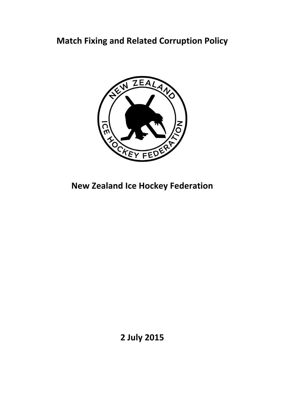# **Match Fixing and Related Corruption Policy**



**New Zealand Ice Hockey Federation** 

**2 July 2015**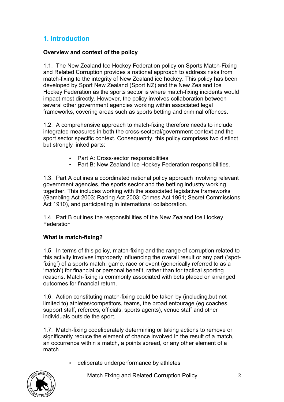### **1. Introduction**

#### **Overview and context of the policy**

1.1. The New Zealand Ice Hockey Federation policy on Sports Match-Fixing and Related Corruption provides a national approach to address risks from match-fixing to the integrity of New Zealand ice hockey. This policy has been developed by Sport New Zealand (Sport NZ) and the New Zealand Ice Hockey Federation as the sports sector is where match-fixing incidents would impact most directly. However, the policy involves collaboration between several other government agencies working within associated legal frameworks, covering areas such as sports betting and criminal offences.

1.2. A comprehensive approach to match-fixing therefore needs to include integrated measures in both the cross-sectoral/government context and the sport sector specific context. Consequently, this policy comprises two distinct but strongly linked parts:

- Part A: Cross-sector responsibilities
- Part B: New Zealand Ice Hockey Federation responsibilities.

1.3. Part A outlines a coordinated national policy approach involving relevant government agencies, the sports sector and the betting industry working together. This includes working with the associated legislative frameworks (Gambling Act 2003; Racing Act 2003; Crimes Act 1961; Secret Commissions Act 1910), and participating in international collaboration.

1.4. Part B outlines the responsibilities of the New Zealand Ice Hockey Federation

#### **What is match-fixing?**

1.5. In terms of this policy, match-fixing and the range of corruption related to this activity involves improperly influencing the overall result or any part ('spotfixing') of a sports match, game, race or event (generically referred to as a 'match') for financial or personal benefit, rather than for tactical sporting reasons. Match-fixing is commonly associated with bets placed on arranged outcomes for financial return.

1.6. Action constituting match-fixing could be taken by (including,but not limited to) athletes/competitors, teams, the broad entourage (eg coaches, support staff, referees, officials, sports agents), venue staff and other individuals outside the sport.

1.7. Match-fixing codeliberately determining or taking actions to remove or significantly reduce the element of chance involved in the result of a match, an occurrence within a match, a points spread, or any other element of a match

• deliberate underperformance by athletes



Match Fixing and Related Corruption Policy 2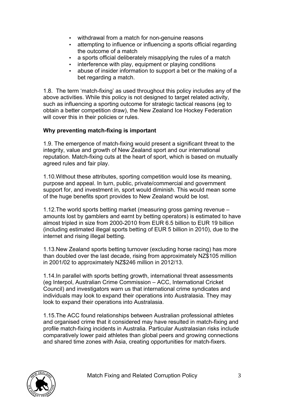- withdrawal from a match for non-genuine reasons
- attempting to influence or influencing a sports official regarding the outcome of a match
- a sports official deliberately misapplying the rules of a match
- interference with play, equipment or playing conditions
- abuse of insider information to support a bet or the making of a bet regarding a match.

1.8. The term 'match-fixing' as used throughout this policy includes any of the above activities. While this policy is not designed to target related activity, such as influencing a sporting outcome for strategic tactical reasons (eg to obtain a better competition draw), the New Zealand Ice Hockey Federation will cover this in their policies or rules.

#### **Why preventing match-fixing is important**

1.9. The emergence of match-fixing would present a significant threat to the integrity, value and growth of New Zealand sport and our international reputation. Match-fixing cuts at the heart of sport, which is based on mutually agreed rules and fair play.

1.10.Without these attributes, sporting competition would lose its meaning, purpose and appeal. In turn, public, private/commercial and government support for, and investment in, sport would diminish. This would mean some of the huge benefits sport provides to New Zealand would be lost.

1.12.The world sports betting market (measuring gross gaming revenue – amounts lost by gamblers and earnt by betting operators) is estimated to have almost tripled in size from 2000-2010 from EUR 6.5 billion to EUR 19 billion (including estimated illegal sports betting of EUR 5 billion in 2010), due to the internet and rising illegal betting.

1.13.New Zealand sports betting turnover (excluding horse racing) has more than doubled over the last decade, rising from approximately NZ\$105 million in 2001/02 to approximately NZ\$246 million in 2012/13.

1.14.In parallel with sports betting growth, international threat assessments (eg Interpol, Australian Crime Commission – ACC, International Cricket Council) and investigators warn us that international crime syndicates and individuals may look to expand their operations into Australasia. They may look to expand their operations into Australasia.

1.15.The ACC found relationships between Australian professional athletes and organised crime that it considered may have resulted in match-fixing and profile match-fixing incidents in Australia. Particular Australasian risks include comparatively lower paid athletes than global peers and growing connections and shared time zones with Asia, creating opportunities for match-fixers.

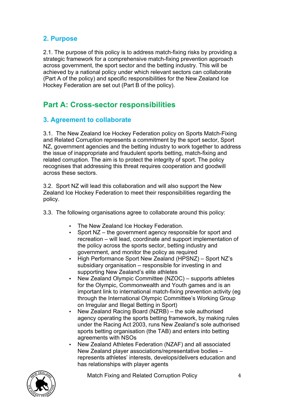### **2. Purpose**

2.1. The purpose of this policy is to address match-fixing risks by providing a strategic framework for a comprehensive match-fixing prevention approach across government, the sport sector and the betting industry. This will be achieved by a national policy under which relevant sectors can collaborate (Part A of the policy) and specific responsibilities for the New Zealand Ice Hockey Federation are set out (Part B of the policy).

## **Part A: Cross-sector responsibilities**

### **3. Agreement to collaborate**

3.1. The New Zealand Ice Hockey Federation policy on Sports Match-Fixing and Related Corruption represents a commitment by the sport sector, Sport NZ, government agencies and the betting industry to work together to address the issue of inappropriate and fraudulent sports betting, match-fixing and related corruption. The aim is to protect the integrity of sport. The policy recognises that addressing this threat requires cooperation and goodwill across these sectors.

3.2. Sport NZ will lead this collaboration and will also support the New Zealand Ice Hockey Federation to meet their responsibilities regarding the policy.

- 3.3. The following organisations agree to collaborate around this policy:
	- The New Zealand Ice Hockey Federation.
	- Sport NZ the government agency responsible for sport and recreation – will lead, coordinate and support implementation of the policy across the sports sector, betting industry and government, and monitor the policy as required
	- High Performance Sport New Zealand (HPSNZ) Sport NZ's subsidiary organisation – responsible for investing in and supporting New Zealand's elite athletes
	- New Zealand Olympic Committee (NZOC) supports athletes for the Olympic, Commonwealth and Youth games and is an important link to international match-fixing prevention activity (eg through the International Olympic Committee's Working Group on Irregular and Illegal Betting in Sport)
	- New Zealand Racing Board (NZRB) the sole authorised agency operating the sports betting framework, by making rules under the Racing Act 2003, runs New Zealand's sole authorised sports betting organisation (the TAB) and enters into betting agreements with NSOs
	- New Zealand Athletes Federation (NZAF) and all associated New Zealand player associations/representative bodies – represents athletes' interests, develops/delivers education and has relationships with player agents



Match Fixing and Related Corruption Policy 4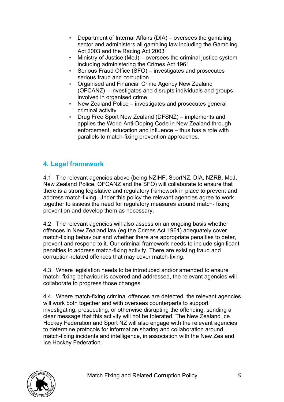- Department of Internal Affairs (DIA) oversees the gambling sector and administers all gambling law including the Gambling Act 2003 and the Racing Act 2003
- Ministry of Justice (MoJ) oversees the criminal justice system including administering the Crimes Act 1961
- Serious Fraud Office (SFO) investigates and prosecutes serious fraud and corruption
- Organised and Financial Crime Agency New Zealand (OFCANZ) – investigates and disrupts individuals and groups involved in organised crime
- New Zealand Police investigates and prosecutes general criminal activity
- Drug Free Sport New Zealand (DFSNZ) implements and applies the World Anti-Doping Code in New Zealand through enforcement, education and influence – thus has a role with parallels to match-fixing prevention approaches.

### **4. Legal framework**

4.1. The relevant agencies above (being NZIHF, SportNZ, DIA, NZRB, MoJ, New Zealand Police, OFCANZ and the SFO) will collaborate to ensure that there is a strong legislative and regulatory framework in place to prevent and address match-fixing. Under this policy the relevant agencies agree to work together to assess the need for regulatory measures around match- fixing prevention and develop them as necessary.

4.2. The relevant agencies will also assess on an ongoing basis whether offences in New Zealand law (eg the Crimes Act 1961) adequately cover match-fixing behaviour and whether there are appropriate penalties to deter, prevent and respond to it. Our criminal framework needs to include significant penalties to address match-fixing activity. There are existing fraud and corruption-related offences that may cover match-fixing.

4.3. Where legislation needs to be introduced and/or amended to ensure match- fixing behaviour is covered and addressed, the relevant agencies will collaborate to progress those changes.

4.4. Where match-fixing criminal offences are detected, the relevant agencies will work both together and with overseas counterparts to support investigating, prosecuting, or otherwise disrupting the offending, sending a clear message that this activity will not be tolerated. The New Zealand Ice Hockey Federation and Sport NZ will also engage with the relevant agencies to determine protocols for information sharing and collaboration around match-fixing incidents and intelligence, in association with the New Zealand Ice Hockey Federation.

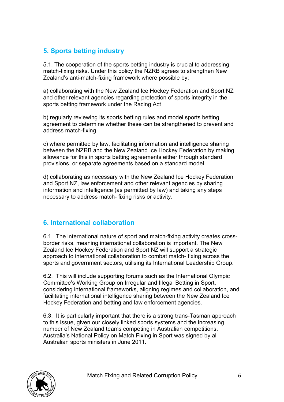### **5. Sports betting industry**

5.1. The cooperation of the sports betting industry is crucial to addressing match-fixing risks. Under this policy the NZRB agrees to strengthen New Zealand's anti-match-fixing framework where possible by:

a) collaborating with the New Zealand Ice Hockey Federation and Sport NZ and other relevant agencies regarding protection of sports integrity in the sports betting framework under the Racing Act

b) regularly reviewing its sports betting rules and model sports betting agreement to determine whether these can be strengthened to prevent and address match-fixing

c) where permitted by law, facilitating information and intelligence sharing between the NZRB and the New Zealand Ice Hockey Federation by making allowance for this in sports betting agreements either through standard provisions, or separate agreements based on a standard model

d) collaborating as necessary with the New Zealand Ice Hockey Federation and Sport NZ, law enforcement and other relevant agencies by sharing information and intelligence (as permitted by law) and taking any steps necessary to address match- fixing risks or activity.

### **6. International collaboration**

6.1. The international nature of sport and match-fixing activity creates crossborder risks, meaning international collaboration is important. The New Zealand Ice Hockey Federation and Sport NZ will support a strategic approach to international collaboration to combat match- fixing across the sports and government sectors, utilising its International Leadership Group.

6.2. This will include supporting forums such as the International Olympic Committee's Working Group on Irregular and Illegal Betting in Sport, considering international frameworks, aligning regimes and collaboration, and facilitating international intelligence sharing between the New Zealand Ice Hockey Federation and betting and law enforcement agencies.

6.3. It is particularly important that there is a strong trans-Tasman approach to this issue, given our closely linked sports systems and the increasing number of New Zealand teams competing in Australian competitions. Australia's National Policy on Match Fixing in Sport was signed by all Australian sports ministers in June 2011.

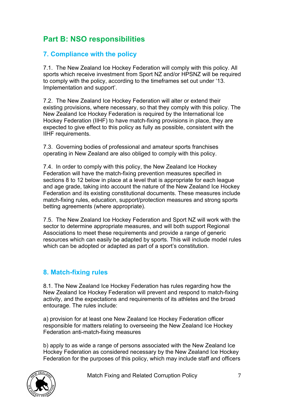## **Part B: NSO responsibilities**

### **7. Compliance with the policy**

7.1. The New Zealand Ice Hockey Federation will comply with this policy. All sports which receive investment from Sport NZ and/or HPSNZ will be required to comply with the policy, according to the timeframes set out under '13. Implementation and support'.

7.2. The New Zealand Ice Hockey Federation will alter or extend their existing provisions, where necessary, so that they comply with this policy. The New Zealand Ice Hockey Federation is required by the International Ice Hockey Federation (IIHF) to have match-fixing provisions in place, they are expected to give effect to this policy as fully as possible, consistent with the IIHF requirements.

7.3. Governing bodies of professional and amateur sports franchises operating in New Zealand are also obliged to comply with this policy.

7.4. In order to comply with this policy, the New Zealand Ice Hockey Federation will have the match-fixing prevention measures specified in sections 8 to 12 below in place at a level that is appropriate for each league and age grade, taking into account the nature of the New Zealand Ice Hockey Federation and its existing constitutional documents. These measures include match-fixing rules, education, support/protection measures and strong sports betting agreements (where appropriate).

7.5. The New Zealand Ice Hockey Federation and Sport NZ will work with the sector to determine appropriate measures, and will both support Regional Associations to meet these requirements and provide a range of generic resources which can easily be adapted by sports. This will include model rules which can be adopted or adapted as part of a sport's constitution.

### **8. Match-fixing rules**

8.1. The New Zealand Ice Hockey Federation has rules regarding how the New Zealand Ice Hockey Federation will prevent and respond to match-fixing activity, and the expectations and requirements of its athletes and the broad entourage. The rules include:

a) provision for at least one New Zealand Ice Hockey Federation officer responsible for matters relating to overseeing the New Zealand Ice Hockey Federation anti-match-fixing measures

b) apply to as wide a range of persons associated with the New Zealand Ice Hockey Federation as considered necessary by the New Zealand Ice Hockey Federation for the purposes of this policy, which may include staff and officers

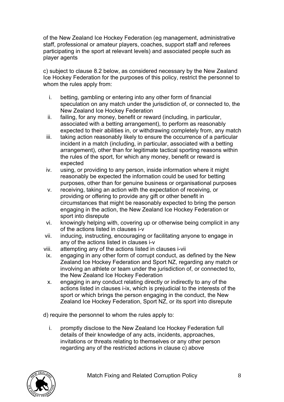of the New Zealand Ice Hockey Federation (eg management, administrative staff, professional or amateur players, coaches, support staff and referees participating in the sport at relevant levels) and associated people such as player agents

c) subject to clause 8.2 below, as considered necessary by the New Zealand Ice Hockey Federation for the purposes of this policy, restrict the personnel to whom the rules apply from:

- i. betting, gambling or entering into any other form of financial speculation on any match under the jurisdiction of, or connected to, the New Zealand Ice Hockey Federation
- ii. failing, for any money, benefit or reward (including, in particular, associated with a betting arrangement), to perform as reasonably expected to their abilities in, or withdrawing completely from, any match
- iii. taking action reasonably likely to ensure the occurrence of a particular incident in a match (including, in particular, associated with a betting arrangement), other than for legitimate tactical sporting reasons within the rules of the sport, for which any money, benefit or reward is expected
- iv. using, or providing to any person, inside information where it might reasonably be expected the information could be used for betting purposes, other than for genuine business or organisational purposes
- v. receiving, taking an action with the expectation of receiving, or providing or offering to provide any gift or other benefit in circumstances that might be reasonably expected to bring the person engaging in the action, the New Zealand Ice Hockey Federation or sport into disrepute
- vi. knowingly helping with, covering up or otherwise being complicit in any of the actions listed in clauses i-v
- vii. inducing, instructing, encouraging or facilitating anyone to engage in any of the actions listed in clauses i-v
- viii. attempting any of the actions listed in clauses i-vii
- ix. engaging in any other form of corrupt conduct, as defined by the New Zealand Ice Hockey Federation and Sport NZ, regarding any match or involving an athlete or team under the jurisdiction of, or connected to, the New Zealand Ice Hockey Federation
- x. engaging in any conduct relating directly or indirectly to any of the actions listed in clauses i-ix, which is prejudicial to the interests of the sport or which brings the person engaging in the conduct, the New Zealand Ice Hockey Federation, Sport NZ, or its sport into disrepute

d) require the personnel to whom the rules apply to:

i. promptly disclose to the New Zealand Ice Hockey Federation full details of their knowledge of any acts, incidents, approaches, invitations or threats relating to themselves or any other person regarding any of the restricted actions in clause c) above

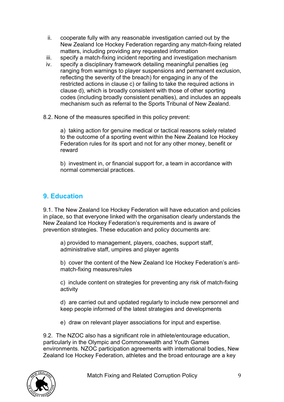- ii. cooperate fully with any reasonable investigation carried out by the New Zealand Ice Hockey Federation regarding any match-fixing related matters, including providing any requested information
- iii. specify a match-fixing incident reporting and investigation mechanism
- iv. specify a disciplinary framework detailing meaningful penalties (eg ranging from warnings to player suspensions and permanent exclusion, reflecting the severity of the breach) for engaging in any of the restricted actions in clause c) or failing to take the required actions in clause d), which is broadly consistent with those of other sporting codes (including broadly consistent penalties), and includes an appeals mechanism such as referral to the Sports Tribunal of New Zealand.
- 8.2. None of the measures specified in this policy prevent:

a) taking action for genuine medical or tactical reasons solely related to the outcome of a sporting event within the New Zealand Ice Hockey Federation rules for its sport and not for any other money, benefit or reward

b) investment in, or financial support for, a team in accordance with normal commercial practices.

### **9. Education**

9.1. The New Zealand Ice Hockey Federation will have education and policies in place, so that everyone linked with the organisation clearly understands the New Zealand Ice Hockey Federation's requirements and is aware of prevention strategies. These education and policy documents are:

a) provided to management, players, coaches, support staff, administrative staff, umpires and player agents

b) cover the content of the New Zealand Ice Hockey Federation's antimatch-fixing measures/rules

c) include content on strategies for preventing any risk of match-fixing activity

d) are carried out and updated regularly to include new personnel and keep people informed of the latest strategies and developments

e) draw on relevant player associations for input and expertise.

9.2. The NZOC also has a significant role in athlete/entourage education, particularly in the Olympic and Commonwealth and Youth Games environments. NZOC participation agreements with international bodies, New Zealand Ice Hockey Federation, athletes and the broad entourage are a key

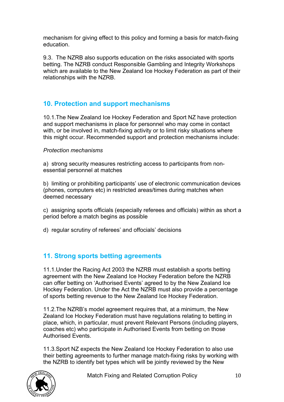mechanism for giving effect to this policy and forming a basis for match-fixing education.

9.3. The NZRB also supports education on the risks associated with sports betting. The NZRB conduct Responsible Gambling and Integrity Workshops which are available to the New Zealand Ice Hockey Federation as part of their relationships with the NZRB.

### **10. Protection and support mechanisms**

10.1.The New Zealand Ice Hockey Federation and Sport NZ have protection and support mechanisms in place for personnel who may come in contact with, or be involved in, match-fixing activity or to limit risky situations where this might occur. Recommended support and protection mechanisms include:

#### *Protection mechanisms*

a) strong security measures restricting access to participants from nonessential personnel at matches

b) limiting or prohibiting participants' use of electronic communication devices (phones, computers etc) in restricted areas/times during matches when deemed necessary

c) assigning sports officials (especially referees and officials) within as short a period before a match begins as possible

d) regular scrutiny of referees' and offocials' decisions

### **11. Strong sports betting agreements**

11.1.Under the Racing Act 2003 the NZRB must establish a sports betting agreement with the New Zealand Ice Hockey Federation before the NZRB can offer betting on 'Authorised Events' agreed to by the New Zealand Ice Hockey Federation. Under the Act the NZRB must also provide a percentage of sports betting revenue to the New Zealand Ice Hockey Federation.

11.2.The NZRB's model agreement requires that, at a minimum, the New Zealand Ice Hockey Federation must have regulations relating to betting in place, which, in particular, must prevent Relevant Persons (including players, coaches etc) who participate in Authorised Events from betting on those Authorised Events.

11.3.Sport NZ expects the New Zealand Ice Hockey Federation to also use their betting agreements to further manage match-fixing risks by working with the NZRB to identify bet types which will be jointly reviewed by the New

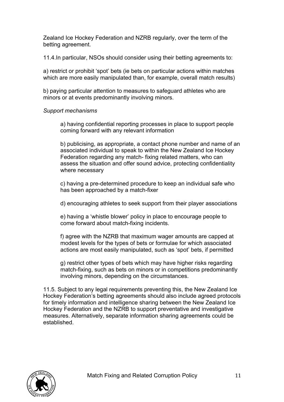Zealand Ice Hockey Federation and NZRB regularly, over the term of the betting agreement.

11.4.In particular, NSOs should consider using their betting agreements to:

a) restrict or prohibit 'spot' bets (ie bets on particular actions within matches which are more easily manipulated than, for example, overall match results)

b) paying particular attention to measures to safeguard athletes who are minors or at events predominantly involving minors.

#### *Support mechanisms*

a) having confidential reporting processes in place to support people coming forward with any relevant information

b) publicising, as appropriate, a contact phone number and name of an associated individual to speak to within the New Zealand Ice Hockey Federation regarding any match- fixing related matters, who can assess the situation and offer sound advice, protecting confidentiality where necessary

c) having a pre-determined procedure to keep an individual safe who has been approached by a match-fixer

d) encouraging athletes to seek support from their player associations

e) having a 'whistle blower' policy in place to encourage people to come forward about match-fixing incidents.

f) agree with the NZRB that maximum wager amounts are capped at modest levels for the types of bets or formulae for which associated actions are most easily manipulated, such as 'spot' bets, if permitted

g) restrict other types of bets which may have higher risks regarding match-fixing, such as bets on minors or in competitions predominantly involving minors, depending on the circumstances.

11.5. Subject to any legal requirements preventing this, the New Zealand Ice Hockey Federation's betting agreements should also include agreed protocols for timely information and intelligence sharing between the New Zealand Ice Hockey Federation and the NZRB to support preventative and investigative measures. Alternatively, separate information sharing agreements could be established.

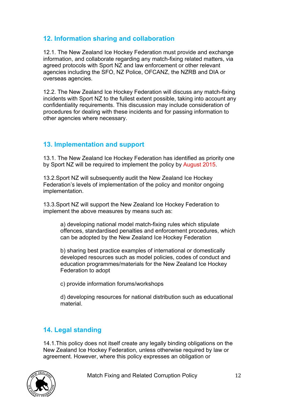### **12. Information sharing and collaboration**

12.1. The New Zealand Ice Hockey Federation must provide and exchange information, and collaborate regarding any match-fixing related matters, via agreed protocols with Sport NZ and law enforcement or other relevant agencies including the SFO, NZ Police, OFCANZ, the NZRB and DIA or overseas agencies.

12.2. The New Zealand Ice Hockey Federation will discuss any match-fixing incidents with Sport NZ to the fullest extent possible, taking into account any confidentiality requirements. This discussion may include consideration of procedures for dealing with these incidents and for passing information to other agencies where necessary.

#### **13. Implementation and support**

13.1. The New Zealand Ice Hockey Federation has identified as priority one by Sport NZ will be required to implement the policy by August 2015.

13.2.Sport NZ will subsequently audit the New Zealand Ice Hockey Federation's levels of implementation of the policy and monitor ongoing implementation.

13.3.Sport NZ will support the New Zealand Ice Hockey Federation to implement the above measures by means such as:

a) developing national model match-fixing rules which stipulate offences, standardised penalties and enforcement procedures, which can be adopted by the New Zealand Ice Hockey Federation

b) sharing best practice examples of international or domestically developed resources such as model policies, codes of conduct and education programmes/materials for the New Zealand Ice Hockey Federation to adopt

c) provide information forums/workshops

d) developing resources for national distribution such as educational material.

#### **14. Legal standing**

14.1.This policy does not itself create any legally binding obligations on the New Zealand Ice Hockey Federation, unless otherwise required by law or agreement. However, where this policy expresses an obligation or

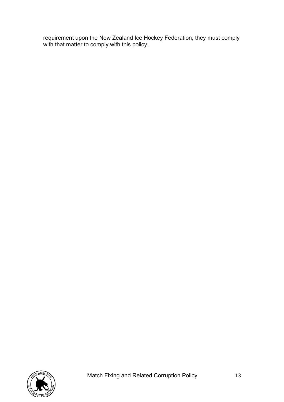requirement upon the New Zealand Ice Hockey Federation, they must comply with that matter to comply with this policy.

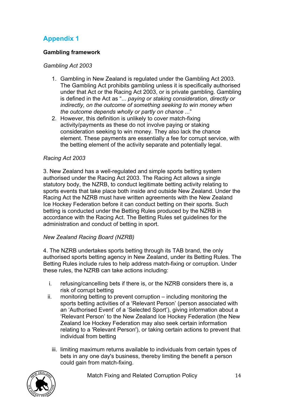## **Appendix 1**

#### **Gambling framework**

#### *Gambling Act 2003*

- 1. Gambling in New Zealand is regulated under the Gambling Act 2003. The Gambling Act prohibits gambling unless it is specifically authorised under that Act or the Racing Act 2003, or is private gambling. Gambling is defined in the Act as "... *paying or staking consideration, directly or indirectly, on the outcome of something seeking to win money when the outcome depends wholly or partly on chance* ..."
- 2. However, this definition is unlikely to cover match-fixing activity/payments as these do not involve paying or staking consideration seeking to win money. They also lack the chance element. These payments are essentially a fee for corrupt service, with the betting element of the activity separate and potentially legal.

#### *Racing Act 2003*

3. New Zealand has a well-regulated and simple sports betting system authorised under the Racing Act 2003. The Racing Act allows a single statutory body, the NZRB, to conduct legitimate betting activity relating to sports events that take place both inside and outside New Zealand. Under the Racing Act the NZRB must have written agreements with the New Zealand Ice Hockey Federation before it can conduct betting on their sports. Such betting is conducted under the Betting Rules produced by the NZRB in accordance with the Racing Act. The Betting Rules set guidelines for the administration and conduct of betting in sport.

#### *New Zealand Racing Board (NZRB)*

4. The NZRB undertakes sports betting through its TAB brand, the only authorised sports betting agency in New Zealand, under its Betting Rules. The Betting Rules include rules to help address match-fixing or corruption. Under these rules, the NZRB can take actions including:

- i. refusing/cancelling bets if there is, or the NZRB considers there is, a risk of corrupt betting
- ii. monitoring betting to prevent corruption including monitoring the sports betting activities of a 'Relevant Person' (person associated with an 'Authorised Event' of a 'Selected Sport'), giving information about a 'Relevant Person' to the New Zealand Ice Hockey Federation (the New Zealand Ice Hockey Federation may also seek certain information relating to a 'Relevant Person'), or taking certain actions to prevent that individual from betting
	- iii. limiting maximum returns available to individuals from certain types of bets in any one day's business, thereby limiting the benefit a person could gain from match-fixing.